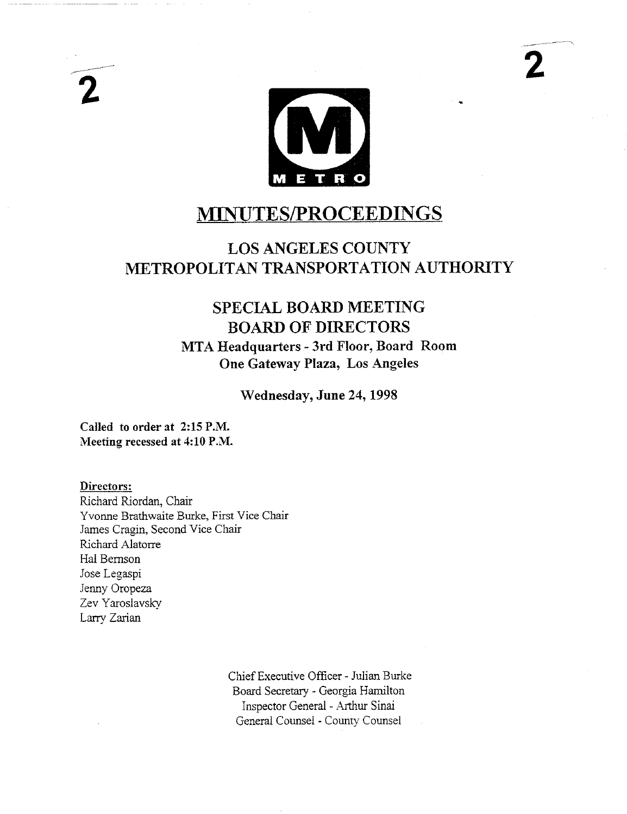

**2**

# **MINUTES/PROCEEDINGS**

## **LOS ANGELES COUNTY METROPOLITAN TRANSPORTATION AUTHORITY**

## **SPECIAL BOARD MEETING BOARD OF DIRECTORS MTA Headquarters - 3rd Floor, Board Room One Gateway Plaza, Los Angeles**

**Wednesday, June 24, 1998**

**Called to order** at 2:15 P.M. Meeting recessed at 4:10 P.M.

**Directors:**

Richard Riordan, Chair Yvonne Brathwaite Burke, First Vice Chair James Cragin, Second Vice Chair Richard Alatorre Hal Bemson Jose Legaspi Jenny Oropeza Zev Yaroslavsky Larry Zarian

> Chief Executive Officer - Julian Burke Board Secretary - Georgia Hamilton Inspector General - Arthur Sinai General Counsel - County Counsel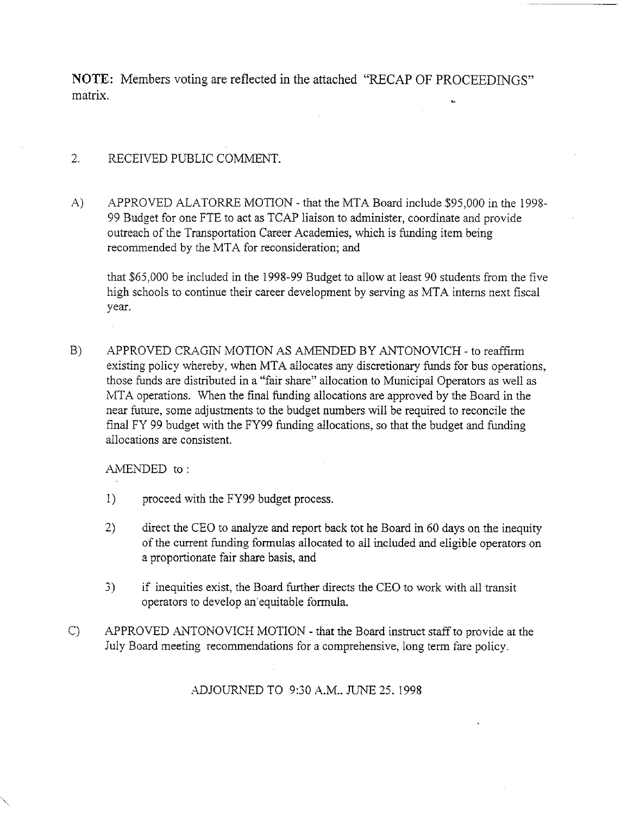NOTE: Members voting are reflected in the attached "RECAP OF PROCEEDINGS" matrix,

#### 2. RECEIVED PUBLIC COMMENT.

A) APPROVED ALATORRE MOTION - that the MTA Board include \$95,000 in the 1998- 99 Budget for one FTE to act as TCAP liaison to administer, coordinate and provide outreach of the Transportation Career Academies, which is funding item being recommended by the MTA for reconsideration; and

that \$65,000 be included in the 1998-99 Budget to allow at least 90 students from the five high schools to continue their career development by serving as MTA interns next fiscal year.

**B)** APPROVED CRAGIN MOTION AS AMENDED BY ANTONOVICH - to reaffirm existing policy whereby, when MTA allocates any discretionary funds for bus operations, those funds are distributed in a "fair share" allocation to Municipal Operators as well as MTA operations. When the final funding allocations are approved by the Board in the near future, some adjustments to the budget numbers will be required to reconcile the final FY 99 budget with the FY99 funding allocations, so that the budget and funding allocations are consistent.

AMENDED to :

- 1) proceed with the FY99 budget process.
- 2) direct the CEO to analyze and report back tot he Board in 60 days on the inequity. of the current funding formulas allocated to all included and eligible operators on a proportionate fair share basis, and
- 3) if inequities exist, the Board further directs the CEO to work with all transit operators to develop an'equitable formula.
- C) APPROVED ANTONOVICH MOTION - that the Board instruct staff to provide at the July Board meeting recommendations for a comprehensive, long term tare policy.

#### ADJOURNED TO 9:30 A.M.. JUNE 25. 1998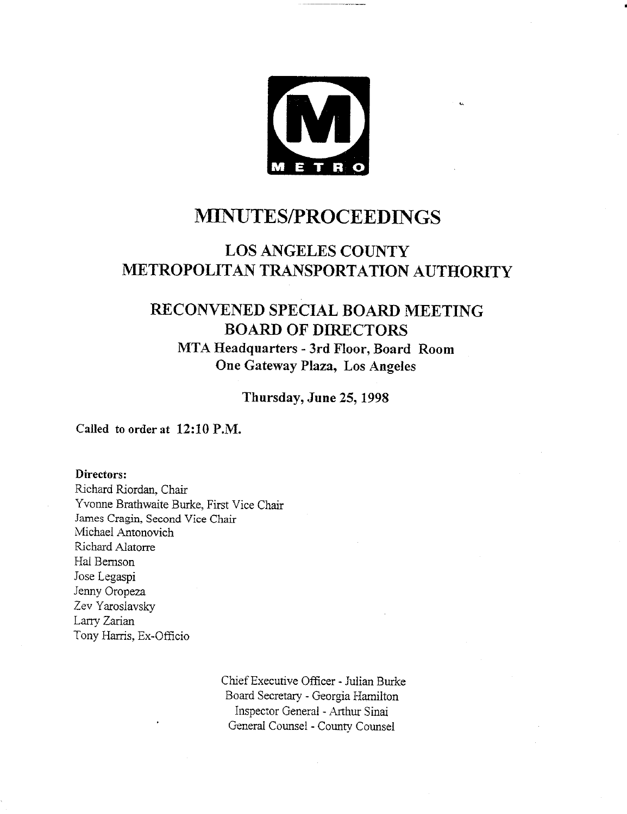

## **MINUTES/PROCEEDINGS**

## **LOS ANGELES COUNTY METROPOLITAN TRANSPORTATION AUTHORITY**

### **RECONVENED SPECIAL BOARD MEETING BOARD OF DIRECTORS MTA Headquarters - 3rd Floor, Board Room One Gateway Plaza, Los Angeles**

**Thursday, June 25, 1998**

**Called to order at** 12:10 P.M.

**Directors:**

Richard Riordan, Chair Yvonne Brathwaite Burke, First Vice Chair 5ames Cragin, Second Vice Chair Michael Antonovich Richard Alatorre Hal Bemson Jose Legaspi Jenny Oropeza Zev Yaroslavsky Larry. Zarian Tony Harris, Ex-Officio

> Chief Executive Officer - Julian Burke Board Secretary - Georgia Hamilton Inspector General - Arthur Sinai General Counsel - County. Counsel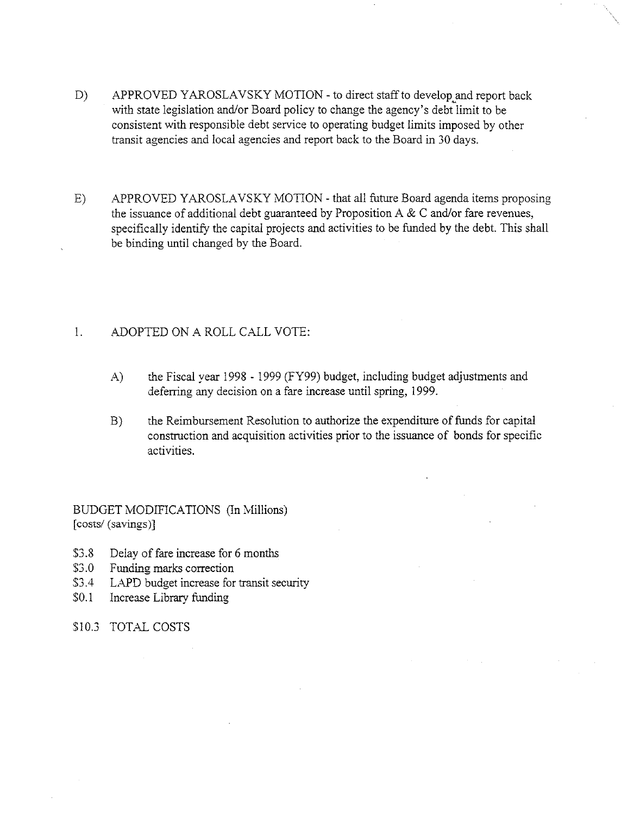- D) APPROVED YAROSLAVSKY MOTION to direct staff to develop and report back with state legislation and/or Board policy to change the agency's debt limit to be consistent with responsible debt service to operating budget limits imposed by other transit agencies and local agencies and report back to the Board in 30 days.
- E) APPROVED YAROSLAVSKY MOTION that all future Board agenda items proposing the issuance of additional debt guaranteed by Proposition A & C and/or fare revenues, specifically identify the capital projects and activities to be funded by the debt. This shall be binding until changed by the Board.

#### 1. ADOPTED ON A ROLL CALL VOTE:

- A) the Fiscal year 1998 1999 (FY99) budget, including budget adjustments and deferring any decision on a fare increase until spring, 1999.
- **B)** the Reimbursement Resolution to authorize the expenditure of funds for capital construction and acquisition activities prior to the issuance of bonds for specific activities.

BUDGET MODIFICATIONS (In Millions) [costs/(savings)]

- \$3.8 Delay of fare increase for 6 months<br>\$3.0 Funding marks correction
- Funding marks correction
- \$3.4 LAPD budget increase for transit security
- \$0.1 Increase Library funding
- \$10.3 TOTAL COSTS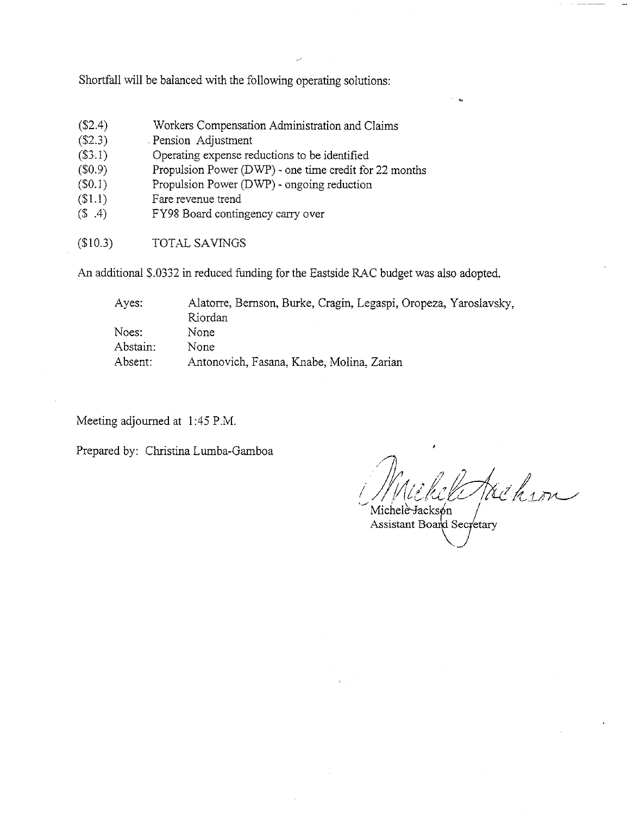Shortfall will be balanced with the following operating solutions:

- (\$2.4) Workers Compensation Administration and Claims
- $(S2.3)$ Pension Adjustment
- $($3.1)$ Operating expense reductions to be identified
- $($0.9)$ Propulsion Power (DWP) - one time credit for 22 months
- $($0.1)$ <br> $($1.1)$ Propulsion Power (DWP) - ongoing reduction
- Fare revenue trend
- $($ \$ .4) FY98 Board contingency carry over
- (\$10.3) TOTAL SAVINGS

An additional \$.0332 in reduced funding for the Eastside RAC budget was also adopted.

| Ayes:    | Alatorre, Bernson, Burke, Cragin, Legaspi, Oropeza, Yaroslavsky,<br>Riordan |
|----------|-----------------------------------------------------------------------------|
| Noes:    | None                                                                        |
| Abstain: | None                                                                        |
| Absent:  | Antonovich, Fasana, Knabe, Molina, Zarian                                   |

Meeting adjourned at 1:45 P.M.

Prepared by: Christina Lumba-Gamboa

them

Michele Jacksón Assistant Board Secretary